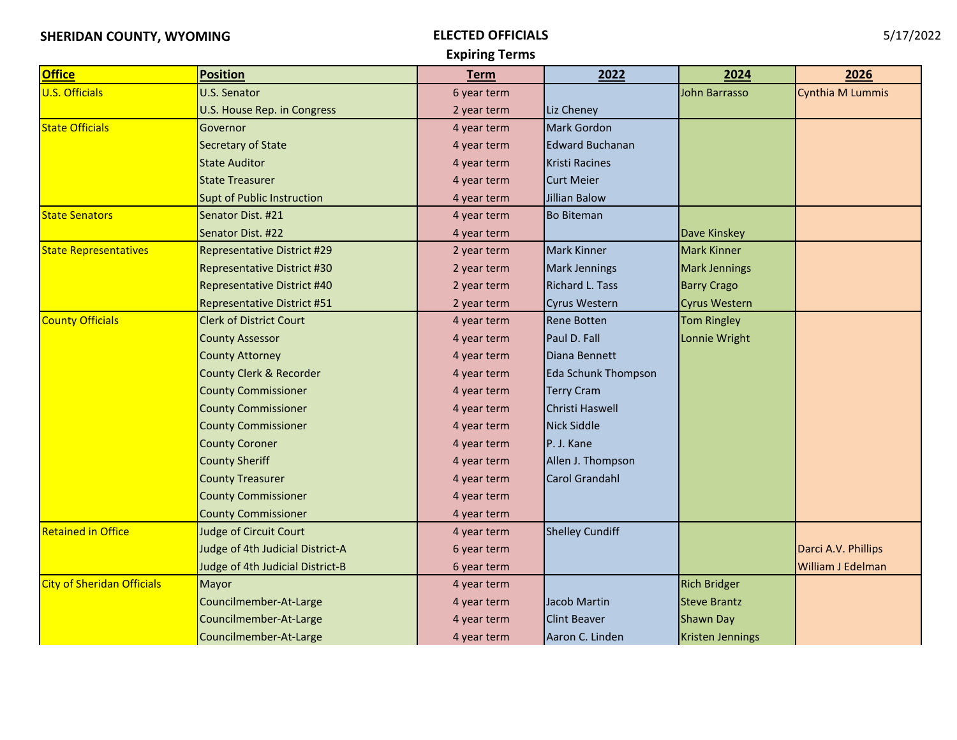## **Expiring Terms**

| <b>Office</b>                | <b>Position</b>                    | <b>Term</b> | 2022                       | 2024                    | 2026                |
|------------------------------|------------------------------------|-------------|----------------------------|-------------------------|---------------------|
| <b>U.S. Officials</b>        | U.S. Senator                       | 6 year term |                            | John Barrasso           | Cynthia M Lummis    |
|                              | U.S. House Rep. in Congress        | 2 year term | Liz Cheney                 |                         |                     |
| <b>State Officials</b>       | Governor                           | 4 year term | Mark Gordon                |                         |                     |
|                              | Secretary of State                 | 4 year term | <b>Edward Buchanan</b>     |                         |                     |
|                              | <b>State Auditor</b>               | 4 year term | <b>Kristi Racines</b>      |                         |                     |
|                              | <b>State Treasurer</b>             | 4 year term | <b>Curt Meier</b>          |                         |                     |
|                              | <b>Supt of Public Instruction</b>  | 4 year term | <b>Jillian Balow</b>       |                         |                     |
| <b>State Senators</b>        | Senator Dist. #21                  | 4 year term | <b>Bo Biteman</b>          |                         |                     |
|                              | Senator Dist. #22                  | 4 year term |                            | Dave Kinskey            |                     |
| <b>State Representatives</b> | <b>Representative District #29</b> | 2 year term | <b>Mark Kinner</b>         | <b>Mark Kinner</b>      |                     |
|                              | <b>Representative District #30</b> | 2 year term | <b>Mark Jennings</b>       | <b>Mark Jennings</b>    |                     |
|                              | <b>Representative District #40</b> | 2 year term | <b>Richard L. Tass</b>     | <b>Barry Crago</b>      |                     |
|                              | <b>Representative District #51</b> | 2 year term | <b>Cyrus Western</b>       | <b>Cyrus Western</b>    |                     |
| <b>County Officials</b>      | <b>Clerk of District Court</b>     | 4 year term | <b>Rene Botten</b>         | <b>Tom Ringley</b>      |                     |
|                              | <b>County Assessor</b>             | 4 year term | Paul D. Fall               | Lonnie Wright           |                     |
|                              | <b>County Attorney</b>             | 4 year term | Diana Bennett              |                         |                     |
|                              | County Clerk & Recorder            | 4 year term | <b>Eda Schunk Thompson</b> |                         |                     |
|                              | <b>County Commissioner</b>         | 4 year term | <b>Terry Cram</b>          |                         |                     |
|                              | <b>County Commissioner</b>         | 4 year term | Christi Haswell            |                         |                     |
|                              | <b>County Commissioner</b>         | 4 year term | <b>Nick Siddle</b>         |                         |                     |
|                              | <b>County Coroner</b>              | 4 year term | P. J. Kane                 |                         |                     |
|                              | <b>County Sheriff</b>              | 4 year term | Allen J. Thompson          |                         |                     |
|                              | <b>County Treasurer</b>            | 4 year term | <b>Carol Grandahl</b>      |                         |                     |
|                              | <b>County Commissioner</b>         | 4 year term |                            |                         |                     |
|                              | <b>County Commissioner</b>         | 4 year term |                            |                         |                     |
| <b>Retained in Office</b>    | <b>Judge of Circuit Court</b>      | 4 year term | <b>Shelley Cundiff</b>     |                         |                     |
|                              | Judge of 4th Judicial District-A   | 6 year term |                            |                         | Darci A.V. Phillips |
|                              | Judge of 4th Judicial District-B   | 6 year term |                            |                         | William J Edelman   |
| City of Sheridan Officials   | Mayor                              | 4 year term |                            | <b>Rich Bridger</b>     |                     |
|                              | Councilmember-At-Large             | 4 year term | Jacob Martin               | <b>Steve Brantz</b>     |                     |
|                              | Councilmember-At-Large             | 4 year term | <b>Clint Beaver</b>        | <b>Shawn Day</b>        |                     |
|                              | Councilmember-At-Large             | 4 year term | Aaron C. Linden            | <b>Kristen Jennings</b> |                     |